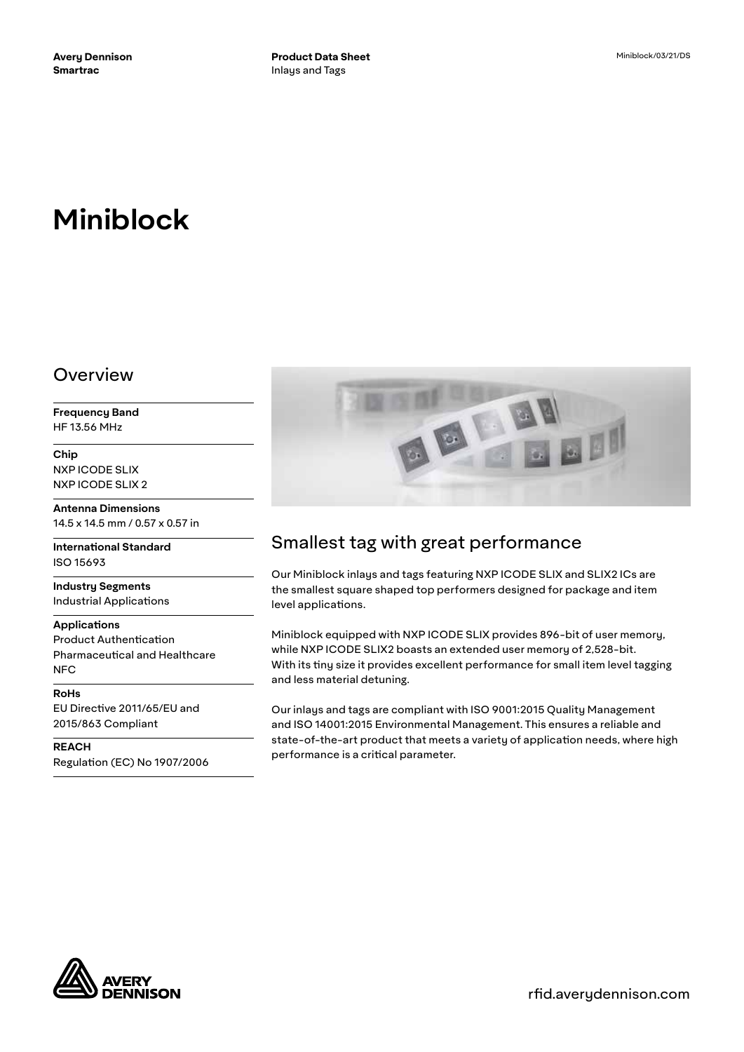# **Miniblock**

# Overview

**Frequency Band** HF 13.56 MHz

**Chip** NXP ICODE SLIX NXP ICODE SLIX 2

**Antenna Dimensions** 14.5 x 14.5 mm / 0.57 x 0.57 in

**International Standard** ISO 15693

**Industry Segments** Industrial Applications

#### **Applications**

Product Authentication Pharmaceutical and Healthcare NFC

**RoHs** EU Directive 2011/65/EU and 2015/863 Compliant

**REACH** Regulation (EC) No 1907/2006



# Smallest tag with great performance

Our Miniblock inlays and tags featuring NXP ICODE SLIX and SLIX2 ICs are the smallest square shaped top performers designed for package and item level applications.

Miniblock equipped with NXP ICODE SLIX provides 896-bit of user memory, while NXP ICODE SLIX2 boasts an extended user memory of 2,528-bit. With its tiny size it provides excellent performance for small item level tagging and less material detuning.

Our inlays and tags are compliant with ISO 9001:2015 Quality Management and ISO 14001:2015 Environmental Management. This ensures a reliable and state-of-the-art product that meets a variety of application needs, where high performance is a critical parameter.